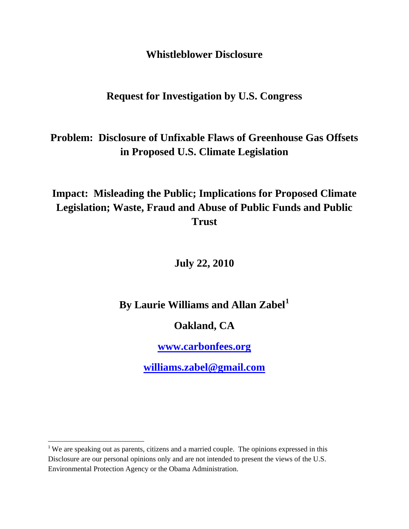**Whistleblower Disclosure** 

**Request for Investigation by U.S. Congress** 

**Problem: Disclosure of Unfixable Flaws of Greenhouse Gas Offsets in Proposed U.S. Climate Legislation** 

**Impact: Misleading the Public; Implications for Proposed Climate Legislation; Waste, Fraud and Abuse of Public Funds and Public Trust** 

**July 22, 2010** 

**By Laurie Williams and Allan Zabel[1](#page-0-0)**

**Oakland, CA** 

**[www.carbonfees.org](http://www.carbonfees.org/)**

**[williams.zabel@gmail.com](mailto:williams.zabel@gmail.com)**

<span id="page-0-0"></span><sup>&</sup>lt;sup>1</sup> We are speaking out as parents, citizens and a married couple. The opinions expressed in this Disclosure are our personal opinions only and are not intended to present the views of the U.S. Environmental Protection Agency or the Obama Administration.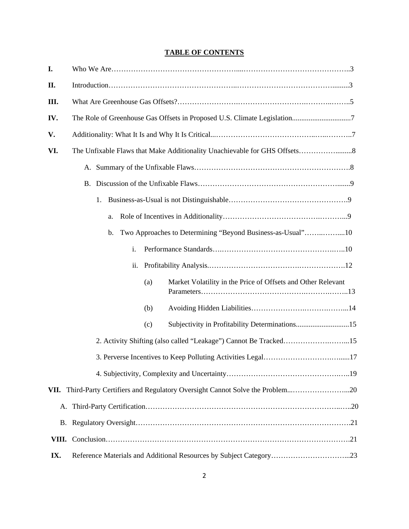## **TABLE OF CONTENTS**

| I.   |                                                                                 |
|------|---------------------------------------------------------------------------------|
| П.   |                                                                                 |
| III. |                                                                                 |
| IV.  |                                                                                 |
| V.   |                                                                                 |
| VI.  |                                                                                 |
|      |                                                                                 |
|      |                                                                                 |
|      | 1.                                                                              |
|      | a.                                                                              |
|      | Two Approaches to Determining "Beyond Business-as-Usual"10<br>$\mathbf{b}$ .    |
|      | i.                                                                              |
|      |                                                                                 |
|      | Market Volatility in the Price of Offsets and Other Relevant<br>(a)             |
|      | (b)                                                                             |
|      | (c)                                                                             |
|      | 2. Activity Shifting (also called "Leakage") Cannot Be Tracked15                |
|      |                                                                                 |
|      |                                                                                 |
|      | VII. Third-Party Certifiers and Regulatory Oversight Cannot Solve the Problem20 |
|      |                                                                                 |
|      |                                                                                 |
|      |                                                                                 |
| IX.  |                                                                                 |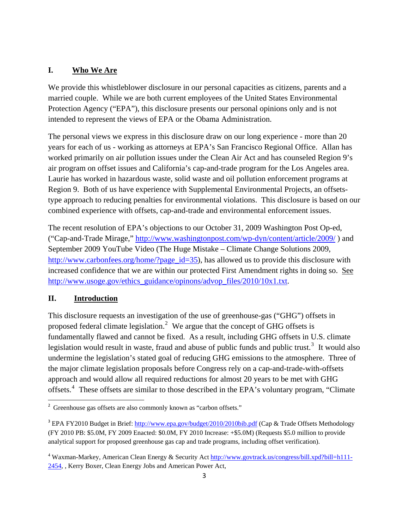### **I. Who We Are**

We provide this whistleblower disclosure in our personal capacities as citizens, parents and a married couple. While we are both current employees of the United States Environmental Protection Agency ("EPA"), this disclosure presents our personal opinions only and is not intended to represent the views of EPA or the Obama Administration.

The personal views we express in this disclosure draw on our long experience - more than 20 years for each of us - working as attorneys at EPA's San Francisco Regional Office. Allan has worked primarily on air pollution issues under the Clean Air Act and has counseled Region 9's air program on offset issues and California's cap-and-trade program for the Los Angeles area. Laurie has worked in hazardous waste, solid waste and oil pollution enforcement programs at Region 9. Both of us have experience with Supplemental Environmental Projects, an offsetstype approach to reducing penalties for environmental violations. This disclosure is based on our combined experience with offsets, cap-and-trade and environmental enforcement issues.

The recent resolution of EPA's objections to our October 31, 2009 Washington Post Op-ed, ("Cap-and-Trade Mirage," <http://www.washingtonpost.com/wp-dyn/content/article/2009/> ) and September 2009 YouTube Video (The Huge Mistake – Climate Change Solutions 2009, [http://www.carbonfees.org/home/?page\\_id=35](http://www.carbonfees.org/home/?page_id=35)), has allowed us to provide this disclosure with increased confidence that we are within our protected First Amendment rights in doing so. See [http://www.usoge.gov/ethics\\_guidance/opinons/advop\\_files/2010/10x1.txt](http://www.usoge.gov/ethics_guidance/opinons/advop_files/2010/10x1.txt).

### **II. Introduction**

This disclosure requests an investigation of the use of greenhouse-gas ("GHG") offsets in proposed federal climate legislation.<sup>[2](#page-2-0)</sup> We argue that the concept of GHG offsets is fundamentally flawed and cannot be fixed. As a result, including GHG offsets in U.S. climate legislation would result in waste, fraud and abuse of public funds and public trust.<sup>[3](#page-2-1)</sup> It would also undermine the legislation's stated goal of reducing GHG emissions to the atmosphere. Three of the major climate legislation proposals before Congress rely on a cap-and-trade-with-offsets approach and would allow all required reductions for almost 20 years to be met with GHG offsets.<sup>[4](#page-2-2)</sup> These offsets are similar to those described in the EPA's voluntary program, "Climate

<span id="page-2-0"></span><sup>&</sup>lt;sup>2</sup> Greenhouse gas offsets are also commonly known as "carbon offsets."

<span id="page-2-1"></span><sup>&</sup>lt;sup>3</sup> EPA FY2010 Budget in Brief: <http://www.epa.gov/budget/2010/2010bib.pdf> (Cap & Trade Offsets Methodology (FY 2010 PB: \$5.0M, FY 2009 Enacted: \$0.0M, FY 2010 Increase: +\$5.0M) (Requests \$5.0 million to provide analytical support for proposed greenhouse gas cap and trade programs, including offset verification).

<span id="page-2-2"></span><sup>&</sup>lt;sup>4</sup> Waxman-Markey, American Clean Energy & Security Act [http://www.govtrack.us/congress/bill.xpd?bill=h111-](http://www.govtrack.us/congress/bill.xpd?bill=h111-2454) [2454,](http://www.govtrack.us/congress/bill.xpd?bill=h111-2454) , Kerry Boxer, Clean Energy Jobs and American Power Act,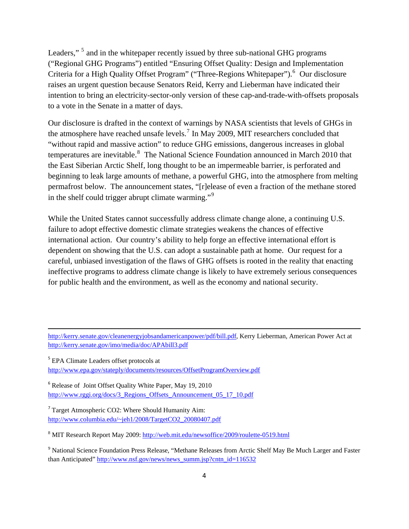Leaders,"<sup>[5](#page-3-0)</sup> and in the whitepaper recently issued by three sub-national GHG programs ("Regional GHG Programs") entitled "Ensuring Offset Quality: Design and Implementation Criteria for a High Quality Offset Program" ("Three-Regions Whitepaper").<sup>[6](#page-3-1)</sup> Our disclosure raises an urgent question because Senators Reid, Kerry and Lieberman have indicated their intention to bring an electricity-sector-only version of these cap-and-trade-with-offsets proposals to a vote in the Senate in a matter of days.

Our disclosure is drafted in the context of warnings by NASA scientists that levels of GHGs in the atmosphere have reached unsafe levels.<sup>[7](#page-3-2)</sup> In May 2009, MIT researchers concluded that "without rapid and massive action" to reduce GHG emissions, dangerous increases in global temperatures are inevitable.<sup>[8](#page-3-3)</sup> The National Science Foundation announced in March 2010 that the East Siberian Arctic Shelf, long thought to be an impermeable barrier, is perforated and beginning to leak large amounts of methane, a powerful GHG, into the atmosphere from melting permafrost below. The announcement states, "[r]elease of even a fraction of the methane stored in the shelf could trigger abrupt climate warming."<sup>[9](#page-3-4)</sup>

While the United States cannot successfully address climate change alone, a continuing U.S. failure to adopt effective domestic climate strategies weakens the chances of effective international action. Our country's ability to help forge an effective international effort is dependent on showing that the U.S. can adopt a sustainable path at home. Our request for a careful, unbiased investigation of the flaws of GHG offsets is rooted in the reality that enacting ineffective programs to address climate change is likely to have extremely serious consequences for public health and the environment, as well as the economy and national security.

<u> Andrewski politika (za obrazu za obrazu za obrazu za obrazu za obrazu za obrazu za obrazu za obrazu za obrazu</u>

<span id="page-3-0"></span><sup>5</sup> EPA Climate Leaders offset protocols at <http://www.epa.gov/stateply/documents/resources/OffsetProgramOverview.pdf>

<span id="page-3-1"></span><sup>6</sup> Release of Joint Offset Quality White Paper, May 19, 2010 http://www.rggi.org/docs/3 Regions Offsets Announcement 05 17 10.pdf

<span id="page-3-2"></span><sup>7</sup> Target Atmospheric CO2: Where Should Humanity Aim: [http://www.columbia.edu/~jeh1/2008/TargetCO2\\_20080407.pdf](http://www.columbia.edu/%7Ejeh1/2008/TargetCO2_20080407.pdf)

<span id="page-3-3"></span><sup>8</sup> MIT Research Report May 2009: <http://web.mit.edu/newsoffice/2009/roulette-0519.html>

<span id="page-3-4"></span><sup>9</sup> National Science Foundation Press Release, "Methane Releases from Arctic Shelf May Be Much Larger and Faster than Anticipated" [http://www.nsf.gov/news/news\\_summ.jsp?cntn\\_id=116532](http://www.nsf.gov/news/news_summ.jsp?cntn_id=116532)

[http://kerry.senate.gov/cleanenergyjobsandamericanpower/pdf/bill.pdf,](http://kerry.senate.gov/cleanenergyjobsandamericanpower/pdf/bill.pdf) Kerry Lieberman, American Power Act at <http://kerry.senate.gov/imo/media/doc/APAbill3.pdf>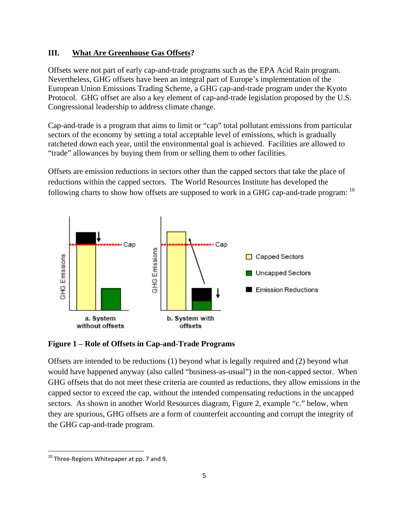### **III. What Are Greenhouse Gas Offsets?**

Offsets were not part of early cap-and-trade programs such as the EPA Acid Rain program. Nevertheless, GHG offsets have been an integral part of Europe's implementation of the European Union Emissions Trading Scheme, a GHG cap-and-trade program under the Kyoto Protocol. GHG offset are also a key element of cap-and-trade legislation proposed by the U.S. Congressional leadership to address climate change.

Cap-and-trade is a program that aims to limit or "cap" total pollutant emissions from particular sectors of the economy by setting a total acceptable level of emissions, which is gradually ratcheted down each year, until the environmental goal is achieved. Facilities are allowed to "trade" allowances by buying them from or selling them to other facilities.

Offsets are emission reductions in sectors other than the capped sectors that take the place of reductions within the capped sectors. The World Resources Institute has developed the following charts to show how offsets are supposed to work in a GHG cap-and-trade program: <sup>[10](#page-4-0)</sup>



**Figure 1 – Role of Offsets in Cap-and-Trade Programs** 

Offsets are intended to be reductions (1) beyond what is legally required and (2) beyond what would have happened anyway (also called "business-as-usual") in the non-capped sector. When GHG offsets that do not meet these criteria are counted as reductions, they allow emissions in the capped sector to exceed the cap, without the intended compensating reductions in the uncapped sectors. As shown in another World Resources diagram, Figure 2, example "c." below, when they are spurious, GHG offsets are a form of counterfeit accounting and corrupt the integrity of the GHG cap-and-trade program.

<span id="page-4-0"></span> $^{10}$  Three-Regions Whitepaper at pp. 7 and 9.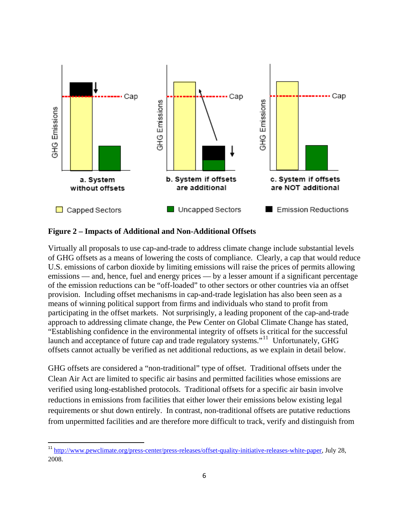

#### **Figure 2 – Impacts of Additional and Non-Additional Offsets**

Virtually all proposals to use cap-and-trade to address climate change include substantial levels of GHG offsets as a means of lowering the costs of compliance. Clearly, a cap that would reduce U.S. emissions of carbon dioxide by limiting emissions will raise the prices of permits allowing emissions — and, hence, fuel and energy prices — by a lesser amount if a significant percentage of the emission reductions can be "off-loaded" to other sectors or other countries via an offset provision. Including offset mechanisms in cap-and-trade legislation has also been seen as a means of winning political support from firms and individuals who stand to profit from participating in the offset markets. Not surprisingly, a leading proponent of the cap-and-trade approach to addressing climate change, the Pew Center on Global Climate Change has stated, "Establishing confidence in the environmental integrity of offsets is critical for the successful launch and acceptance of future cap and trade regulatory systems."<sup>[11](#page-5-0)</sup> Unfortunately, GHG offsets cannot actually be verified as net additional reductions, as we explain in detail below.

GHG offsets are considered a "non-traditional" type of offset. Traditional offsets under the Clean Air Act are limited to specific air basins and permitted facilities whose emissions are verified using long-established protocols. Traditional offsets for a specific air basin involve reductions in emissions from facilities that either lower their emissions below existing legal requirements or shut down entirely. In contrast, non-traditional offsets are putative reductions from unpermitted facilities and are therefore more difficult to track, verify and distinguish from

<span id="page-5-0"></span><sup>11</sup> [http://www.pewclimate.org/press-center/press-releases/offset-quality-initiative-releases-white-paper,](http://www.pewclimate.org/press-center/press-releases/offset-quality-initiative-releases-white-paper) July 28, 2008.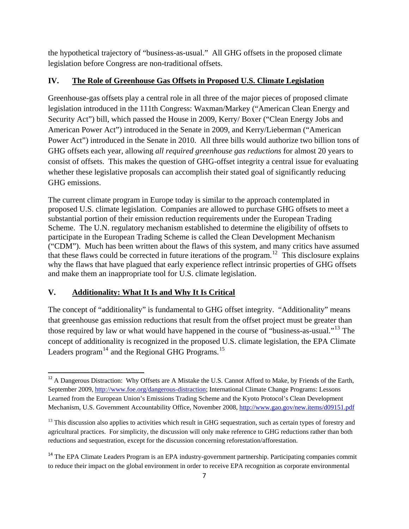the hypothetical trajectory of "business-as-usual." All GHG offsets in the proposed climate legislation before Congress are non-traditional offsets.

## **IV. The Role of Greenhouse Gas Offsets in Proposed U.S. Climate Legislation**

Greenhouse-gas offsets play a central role in all three of the major pieces of proposed climate legislation introduced in the 111th Congress: Waxman/Markey ("American Clean Energy and Security Act") bill, which passed the House in 2009, Kerry/ Boxer ("Clean Energy Jobs and American Power Act") introduced in the Senate in 2009, and Kerry/Lieberman ("American Power Act") introduced in the Senate in 2010. All three bills would authorize two billion tons of GHG offsets each year, allowing *all required greenhouse gas reductions* for almost 20 years to consist of offsets. This makes the question of GHG-offset integrity a central issue for evaluating whether these legislative proposals can accomplish their stated goal of significantly reducing GHG emissions.

The current climate program in Europe today is similar to the approach contemplated in proposed U.S. climate legislation. Companies are allowed to purchase GHG offsets to meet a substantial portion of their emission reduction requirements under the European Trading Scheme. The U.N. regulatory mechanism established to determine the eligibility of offsets to participate in the European Trading Scheme is called the Clean Development Mechanism ("CDM"). Much has been written about the flaws of this system, and many critics have assumed that these flaws could be corrected in future iterations of the program.<sup>[12](#page-6-0)</sup> This disclosure explains why the flaws that have plagued that early experience reflect intrinsic properties of GHG offsets and make them an inappropriate tool for U.S. climate legislation.

## **V. Additionality: What It Is and Why It Is Critical**

The concept of "additionality" is fundamental to GHG offset integrity. "Additionality" means that greenhouse gas emission reductions that result from the offset project must be greater than those required by law or what would have happened in the course of "business-as-usual."[13](#page-6-1) The concept of additionality is recognized in the proposed U.S. climate legislation, the EPA Climate Leaders program $^{14}$  $^{14}$  $^{14}$  and the Regional GHG Programs.<sup>[15](#page-6-3)</sup>

<span id="page-6-0"></span><sup>&</sup>lt;sup>12</sup> A Dangerous Distraction: Why Offsets are A Mistake the U.S. Cannot Afford to Make, by Friends of the Earth, September 2009,<http://www.foe.org/dangerous-distraction>; International Climate Change Programs: Lessons Learned from the European Union's Emissions Trading Scheme and the Kyoto Protocol's Clean Development Mechanism, U.S. Government Accountability Office, November 2008, <http://www.gao.gov/new.items/d09151.pdf>

<span id="page-6-1"></span> $13$  This discussion also applies to activities which result in GHG sequestration, such as certain types of forestry and agricultural practices. For simplicity, the discussion will only make reference to GHG reductions rather than both reductions and sequestration, except for the discussion concerning reforestation/afforestation.

<span id="page-6-3"></span><span id="page-6-2"></span><sup>&</sup>lt;sup>14</sup> The EPA Climate Leaders Program is an EPA industry-government partnership. Participating companies commit to reduce their impact on the global environment in order to receive EPA recognition as corporate environmental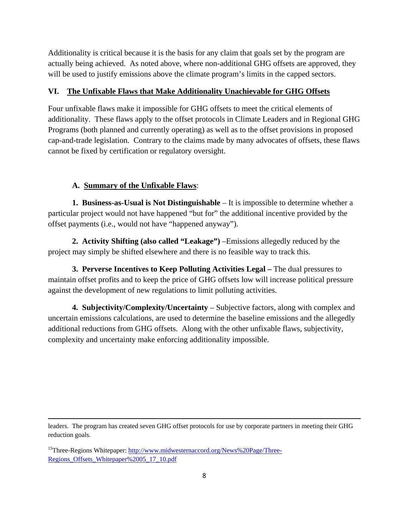Additionality is critical because it is the basis for any claim that goals set by the program are actually being achieved. As noted above, where non-additional GHG offsets are approved, they will be used to justify emissions above the climate program's limits in the capped sectors.

## **VI. The Unfixable Flaws that Make Additionality Unachievable for GHG Offsets**

Four unfixable flaws make it impossible for GHG offsets to meet the critical elements of additionality. These flaws apply to the offset protocols in Climate Leaders and in Regional GHG Programs (both planned and currently operating) as well as to the offset provisions in proposed cap-and-trade legislation. Contrary to the claims made by many advocates of offsets, these flaws cannot be fixed by certification or regulatory oversight.

# **A. Summary of the Unfixable Flaws**:

**1. Business-as-Usual is Not Distinguishable** – It is impossible to determine whether a particular project would not have happened "but for" the additional incentive provided by the offset payments (i.e., would not have "happened anyway").

**2. Activity Shifting (also called "Leakage")** –Emissions allegedly reduced by the project may simply be shifted elsewhere and there is no feasible way to track this.

**3. Perverse Incentives to Keep Polluting Activities Legal –** The dual pressures to maintain offset profits and to keep the price of GHG offsets low will increase political pressure against the development of new regulations to limit polluting activities.

**4. Subjectivity/Complexity/Uncertainty** – Subjective factors, along with complex and uncertain emissions calculations, are used to determine the baseline emissions and the allegedly additional reductions from GHG offsets. Along with the other unfixable flaws, subjectivity, complexity and uncertainty make enforcing additionality impossible.

<u> 1989 - Jan Samuel Barbara, martxa a shekara tsa 1989 - An tsa 1989 - An tsa 1989 - An tsa 1989 - An tsa 198</u> leaders. The program has created seven GHG offset protocols for use by corporate partners in meeting their GHG reduction goals.

<sup>&</sup>lt;sup>15</sup>Three-Regions Whitepaper: [http://www.midwesternaccord.org/News%20Page/Three-](http://www.midwesternaccord.org/News%20Page/Three-Regions_Offsets_Whitepaper%2005_17_10.pdf)Regions Offsets Whitepaper%2005\_17\_10.pdf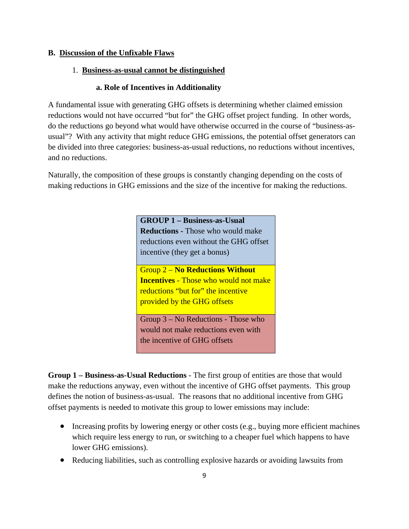#### **B. Discussion of the Unfixable Flaws**

#### 1. **Business-as-usual cannot be distinguished**

#### **a. Role of Incentives in Additionality**

A fundamental issue with generating GHG offsets is determining whether claimed emission reductions would not have occurred "but for" the GHG offset project funding. In other words, do the reductions go beyond what would have otherwise occurred in the course of "business-asusual"? With any activity that might reduce GHG emissions, the potential offset generators can be divided into three categories: business-as-usual reductions, no reductions without incentives, and no reductions.

Naturally, the composition of these groups is constantly changing depending on the costs of making reductions in GHG emissions and the size of the incentive for making the reductions.

> **GROUP 1 – Business-as-Usual Reductions -** Those who would make reductions even without the GHG offset incentive (they get a bonus)

> Group 2 – **No Reductions Without Incentives** - Those who would not make reductions "but for" the incentive provided by the GHG offsets

Group 3 – No Reductions - Those who would not make reductions even with the incentive of GHG offsets

**Group 1 – Business-as-Usual Reductions** - The first group of entities are those that would make the reductions anyway, even without the incentive of GHG offset payments. This group defines the notion of business-as-usual. The reasons that no additional incentive from GHG offset payments is needed to motivate this group to lower emissions may include:

- Increasing profits by lowering energy or other costs (e.g., buying more efficient machines which require less energy to run, or switching to a cheaper fuel which happens to have lower GHG emissions).
- Reducing liabilities, such as controlling explosive hazards or avoiding lawsuits from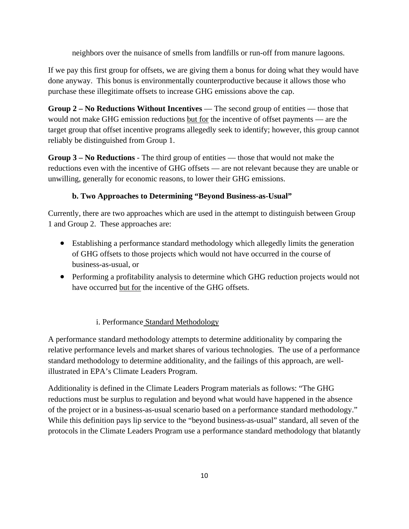neighbors over the nuisance of smells from landfills or run-off from manure lagoons.

If we pay this first group for offsets, we are giving them a bonus for doing what they would have done anyway. This bonus is environmentally counterproductive because it allows those who purchase these illegitimate offsets to increase GHG emissions above the cap.

**Group 2 – No Reductions Without Incentives** — The second group of entities — those that would not make GHG emission reductions but for the incentive of offset payments — are the target group that offset incentive programs allegedly seek to identify; however, this group cannot reliably be distinguished from Group 1.

**Group 3 – No Reductions** - The third group of entities — those that would not make the reductions even with the incentive of GHG offsets — are not relevant because they are unable or unwilling, generally for economic reasons, to lower their GHG emissions.

## **b. Two Approaches to Determining "Beyond Business-as-Usual"**

Currently, there are two approaches which are used in the attempt to distinguish between Group 1 and Group 2. These approaches are:

- Establishing a performance standard methodology which allegedly limits the generation of GHG offsets to those projects which would not have occurred in the course of business-as-usual, or
- Performing a profitability analysis to determine which GHG reduction projects would not have occurred but for the incentive of the GHG offsets.

## i. Performance Standard Methodology

A performance standard methodology attempts to determine additionality by comparing the relative performance levels and market shares of various technologies. The use of a performance standard methodology to determine additionality, and the failings of this approach, are wellillustrated in EPA's Climate Leaders Program.

Additionality is defined in the Climate Leaders Program materials as follows: "The GHG reductions must be surplus to regulation and beyond what would have happened in the absence of the project or in a business-as-usual scenario based on a performance standard methodology." While this definition pays lip service to the "beyond business-as-usual" standard, all seven of the protocols in the Climate Leaders Program use a performance standard methodology that blatantly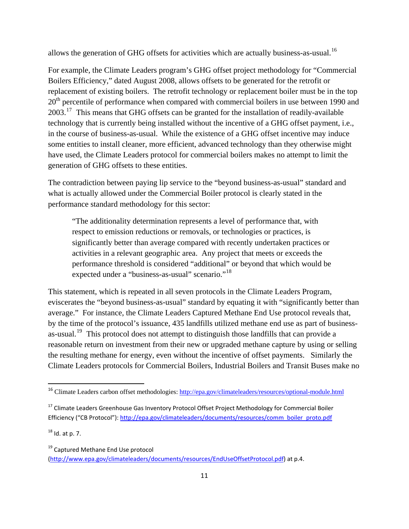allows the generation of GHG offsets for activities which are actually business-as-usual.<sup>[16](#page-10-0)</sup>

For example, the Climate Leaders program's GHG offset project methodology for "Commercial Boilers Efficiency," dated August 2008, allows offsets to be generated for the retrofit or replacement of existing boilers. The retrofit technology or replacement boiler must be in the top 20<sup>th</sup> percentile of performance when compared with commercial boilers in use between 1990 and 2003.<sup>[17](#page-10-1)</sup> This means that GHG offsets can be granted for the installation of readily-available technology that is currently being installed without the incentive of a GHG offset payment, i.e., in the course of business-as-usual. While the existence of a GHG offset incentive may induce some entities to install cleaner, more efficient, advanced technology than they otherwise might have used, the Climate Leaders protocol for commercial boilers makes no attempt to limit the generation of GHG offsets to these entities.

The contradiction between paying lip service to the "beyond business-as-usual" standard and what is actually allowed under the Commercial Boiler protocol is clearly stated in the performance standard methodology for this sector:

"The additionality determination represents a level of performance that, with respect to emission reductions or removals, or technologies or practices, is significantly better than average compared with recently undertaken practices or activities in a relevant geographic area. Any project that meets or exceeds the performance threshold is considered "additional" or beyond that which would be expected under a "business-as-usual" scenario."<sup>[18](#page-10-2)</sup>

This statement, which is repeated in all seven protocols in the Climate Leaders Program, eviscerates the "beyond business-as-usual" standard by equating it with "significantly better than average." For instance, the Climate Leaders Captured Methane End Use protocol reveals that, by the time of the protocol's issuance, 435 landfills utilized methane end use as part of business-as-usual.<sup>[19](#page-10-3)</sup> This protocol does not attempt to distinguish those landfills that can provide a reasonable return on investment from their new or upgraded methane capture by using or selling the resulting methane for energy, even without the incentive of offset payments. Similarly the Climate Leaders protocols for Commercial Boilers, Industrial Boilers and Transit Buses make no

<span id="page-10-2"></span> $18$  Id. at p. 7.

<span id="page-10-0"></span><sup>&</sup>lt;sup>16</sup> Climate Leaders carbon offset methodologies:<http://epa.gov/climateleaders/resources/optional-module.html>

<span id="page-10-1"></span><sup>&</sup>lt;sup>17</sup> Climate Leaders Greenhouse Gas Inventory Protocol Offset Project Methodology for Commercial Boiler Efficiency ("CB Protocol"): [http://epa.gov/climateleaders/documents/resources/comm\\_boiler\\_proto.pdf](http://epa.gov/climateleaders/documents/resources/comm_boiler_proto.pdf)

<span id="page-10-3"></span><sup>&</sup>lt;sup>19</sup> Captured Methane End Use protocol

[<sup>\(</sup>http://www.epa.gov/climateleaders/documents/resources/EndUseOffsetProtocol.pdf\)](http://www.epa.gov/climateleaders/documents/resources/EndUseOffsetProtocol.pdf) at p.4.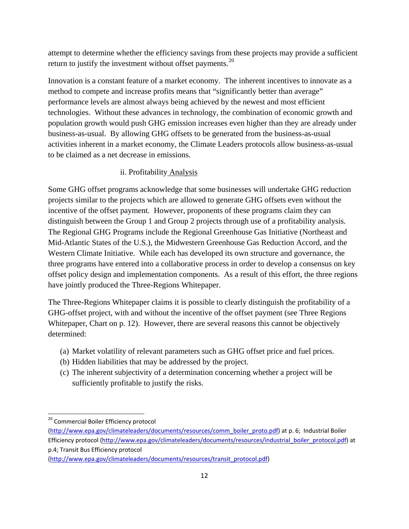attempt to determine whether the efficiency savings from these projects may provide a sufficient return to justify the investment without offset payments.<sup>[20](#page-11-0)</sup>

Innovation is a constant feature of a market economy. The inherent incentives to innovate as a method to compete and increase profits means that "significantly better than average" performance levels are almost always being achieved by the newest and most efficient technologies. Without these advances in technology, the combination of economic growth and population growth would push GHG emission increases even higher than they are already under business-as-usual. By allowing GHG offsets to be generated from the business-as-usual activities inherent in a market economy, the Climate Leaders protocols allow business-as-usual to be claimed as a net decrease in emissions.

### ii. Profitability Analysis

Some GHG offset programs acknowledge that some businesses will undertake GHG reduction projects similar to the projects which are allowed to generate GHG offsets even without the incentive of the offset payment. However, proponents of these programs claim they can distinguish between the Group 1 and Group 2 projects through use of a profitability analysis. The Regional GHG Programs include the Regional Greenhouse Gas Initiative (Northeast and Mid-Atlantic States of the U.S.), the Midwestern Greenhouse Gas Reduction Accord, and the Western Climate Initiative. While each has developed its own structure and governance, the three programs have entered into a collaborative process in order to develop a consensus on key offset policy design and implementation components. As a result of this effort, the three regions have jointly produced the Three-Regions Whitepaper.

The Three-Regions Whitepaper claims it is possible to clearly distinguish the profitability of a GHG-offset project, with and without the incentive of the offset payment (see Three Regions Whitepaper, Chart on p. 12). However, there are several reasons this cannot be objectively determined:

- (a) Market volatility of relevant parameters such as GHG offset price and fuel prices.
- (b) Hidden liabilities that may be addressed by the project.
- (c) The inherent subjectivity of a determination concerning whether a project will be sufficiently profitable to justify the risks.

<span id="page-11-0"></span><sup>&</sup>lt;sup>20</sup> Commercial Boiler Efficiency protocol

[<sup>\(</sup>http://www.epa.gov/climateleaders/documents/resources/comm\\_boiler\\_proto.pdf](http://www.epa.gov/climateleaders/documents/resources/comm_boiler_proto.pdf)) at p. 6; Industrial Boiler Efficiency protocol ([http://www.epa.gov/climateleaders/documents/resources/industrial\\_boiler\\_protocol.pdf\)](http://www.epa.gov/climateleaders/documents/resources/industrial_boiler_protocol.pdf) at p.4; Transit Bus Efficiency protocol

[<sup>\(</sup>http://www.epa.gov/climateleaders/documents/resources/transit\\_protocol.pdf\)](http://www.epa.gov/climateleaders/documents/resources/transit_protocol.pdf)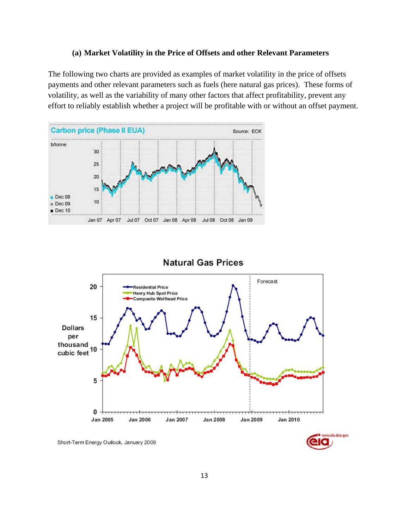#### **(a) Market Volatility in the Price of Offsets and other Relevant Parameters**

The following two charts are provided as examples of market volatility in the price of offsets payments and other relevant parameters such as fuels (here natural gas prices). These forms of volatility, as well as the variability of many other factors that affect profitability, prevent any effort to reliably establish whether a project will be profitable with or without an offset payment.



### **Natural Gas Prices**



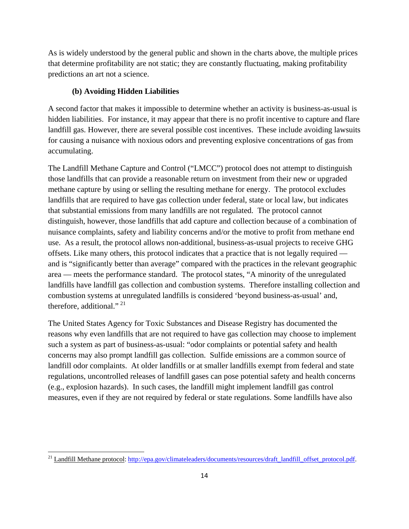As is widely understood by the general public and shown in the charts above, the multiple prices that determine profitability are not static; they are constantly fluctuating, making profitability predictions an art not a science.

### **(b) Avoiding Hidden Liabilities**

A second factor that makes it impossible to determine whether an activity is business-as-usual is hidden liabilities. For instance, it may appear that there is no profit incentive to capture and flare landfill gas. However, there are several possible cost incentives. These include avoiding lawsuits for causing a nuisance with noxious odors and preventing explosive concentrations of gas from accumulating.

The Landfill Methane Capture and Control ("LMCC") protocol does not attempt to distinguish those landfills that can provide a reasonable return on investment from their new or upgraded methane capture by using or selling the resulting methane for energy. The protocol excludes landfills that are required to have gas collection under federal, state or local law, but indicates that substantial emissions from many landfills are not regulated. The protocol cannot distinguish, however, those landfills that add capture and collection because of a combination of nuisance complaints, safety and liability concerns and/or the motive to profit from methane end use. As a result, the protocol allows non-additional, business-as-usual projects to receive GHG offsets. Like many others, this protocol indicates that a practice that is not legally required and is "significantly better than average" compared with the practices in the relevant geographic area — meets the performance standard. The protocol states, "A minority of the unregulated landfills have landfill gas collection and combustion systems. Therefore installing collection and combustion systems at unregulated landfills is considered 'beyond business-as-usual' and, therefore, additional."  $^{21}$  $^{21}$  $^{21}$ 

The United States Agency for Toxic Substances and Disease Registry has documented the reasons why even landfills that are not required to have gas collection may choose to implement such a system as part of business-as-usual: "odor complaints or potential safety and health concerns may also prompt landfill gas collection. Sulfide emissions are a common source of landfill odor complaints. At older landfills or at smaller landfills exempt from federal and state regulations, uncontrolled releases of landfill gases can pose potential safety and health concerns (e.g., explosion hazards). In such cases, the landfill might implement landfill gas control measures, even if they are not required by federal or state regulations. Some landfills have also

<span id="page-13-0"></span><sup>&</sup>lt;sup>21</sup> Landfill Methane protocol: [http://epa.gov/climateleaders/documents/resources/draft\\_landfill\\_offset\\_protocol.pdf.](http://epa.gov/climateleaders/documents/resources/draft_landfill_offset_protocol.pdf)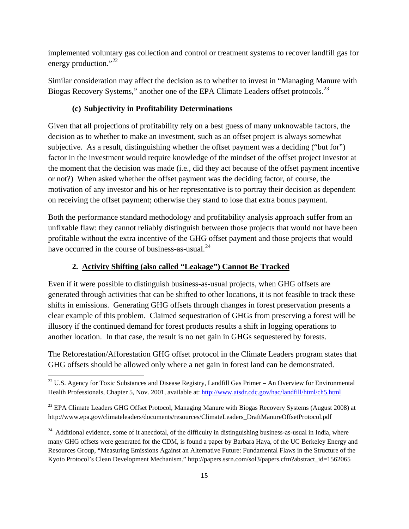implemented voluntary gas collection and control or treatment systems to recover landfill gas for energy production."<sup>[22](#page-14-0)</sup>

Similar consideration may affect the decision as to whether to invest in "Managing Manure with Biogas Recovery Systems," another one of the EPA Climate Leaders offset protocols.<sup>[23](#page-14-1)</sup>

#### **(c) Subjectivity in Profitability Determinations**

Given that all projections of profitability rely on a best guess of many unknowable factors, the decision as to whether to make an investment, such as an offset project is always somewhat subjective. As a result, distinguishing whether the offset payment was a deciding ("but for") factor in the investment would require knowledge of the mindset of the offset project investor at the moment that the decision was made (i.e., did they act because of the offset payment incentive or not?) When asked whether the offset payment was the deciding factor, of course, the motivation of any investor and his or her representative is to portray their decision as dependent on receiving the offset payment; otherwise they stand to lose that extra bonus payment.

Both the performance standard methodology and profitability analysis approach suffer from an unfixable flaw: they cannot reliably distinguish between those projects that would not have been profitable without the extra incentive of the GHG offset payment and those projects that would have occurred in the course of business-as-usual. $^{24}$  $^{24}$  $^{24}$ 

### **2. Activity Shifting (also called "Leakage") Cannot Be Tracked**

Even if it were possible to distinguish business-as-usual projects, when GHG offsets are generated through activities that can be shifted to other locations, it is not feasible to track these shifts in emissions. Generating GHG offsets through changes in forest preservation presents a clear example of this problem. Claimed sequestration of GHGs from preserving a forest will be illusory if the continued demand for forest products results a shift in logging operations to another location. In that case, the result is no net gain in GHGs sequestered by forests.

The Reforestation/Afforestation GHG offset protocol in the Climate Leaders program states that GHG offsets should be allowed only where a net gain in forest land can be demonstrated.

<span id="page-14-0"></span> $22$  U.S. Agency for Toxic Substances and Disease Registry, Landfill Gas Primer – An Overview for Environmental Health Professionals, Chapter 5, Nov. 2001, available at: <http://www.atsdr.cdc.gov/hac/landfill/html/ch5.html>

<span id="page-14-1"></span><sup>&</sup>lt;sup>23</sup> EPA Climate Leaders GHG Offset Protocol, Managing Manure with Biogas Recovery Systems (August 2008) at http://www.epa.gov/climateleaders/documents/resources/ClimateLeaders\_DraftManureOffsetProtocol.pdf

<span id="page-14-2"></span><sup>&</sup>lt;sup>24</sup> Additional evidence, some of it anecdotal, of the difficulty in distinguishing business-as-usual in India, where many GHG offsets were generated for the CDM, is found a paper by Barbara Haya, of the UC Berkeley Energy and Resources Group, "Measuring Emissions Against an Alternative Future: Fundamental Flaws in the Structure of the Kyoto Protocol's Clean Development Mechanism." http://papers.ssrn.com/sol3/papers.cfm?abstract\_id=1562065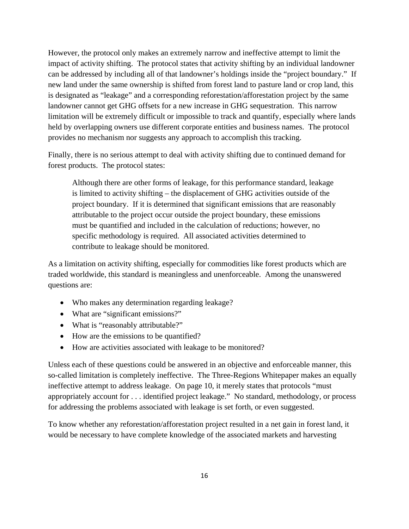However, the protocol only makes an extremely narrow and ineffective attempt to limit the impact of activity shifting. The protocol states that activity shifting by an individual landowner can be addressed by including all of that landowner's holdings inside the "project boundary." If new land under the same ownership is shifted from forest land to pasture land or crop land, this is designated as "leakage" and a corresponding reforestation/afforestation project by the same landowner cannot get GHG offsets for a new increase in GHG sequestration. This narrow limitation will be extremely difficult or impossible to track and quantify, especially where lands held by overlapping owners use different corporate entities and business names. The protocol provides no mechanism nor suggests any approach to accomplish this tracking.

Finally, there is no serious attempt to deal with activity shifting due to continued demand for forest products. The protocol states:

Although there are other forms of leakage, for this performance standard, leakage is limited to activity shifting – the displacement of GHG activities outside of the project boundary. If it is determined that significant emissions that are reasonably attributable to the project occur outside the project boundary, these emissions must be quantified and included in the calculation of reductions; however, no specific methodology is required. All associated activities determined to contribute to leakage should be monitored.

As a limitation on activity shifting, especially for commodities like forest products which are traded worldwide, this standard is meaningless and unenforceable. Among the unanswered questions are:

- Who makes any determination regarding leakage?
- What are "significant emissions?"
- What is "reasonably attributable?"
- How are the emissions to be quantified?
- How are activities associated with leakage to be monitored?

Unless each of these questions could be answered in an objective and enforceable manner, this so-called limitation is completely ineffective. The Three-Regions Whitepaper makes an equally ineffective attempt to address leakage. On page 10, it merely states that protocols "must appropriately account for . . . identified project leakage." No standard, methodology, or process for addressing the problems associated with leakage is set forth, or even suggested.

To know whether any reforestation/afforestation project resulted in a net gain in forest land, it would be necessary to have complete knowledge of the associated markets and harvesting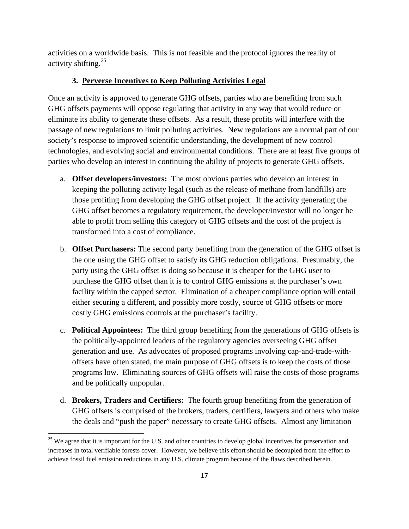activities on a worldwide basis. This is not feasible and the protocol ignores the reality of activity shifting.[25](#page-16-0)

### **3. Perverse Incentives to Keep Polluting Activities Legal**

Once an activity is approved to generate GHG offsets, parties who are benefiting from such GHG offsets payments will oppose regulating that activity in any way that would reduce or eliminate its ability to generate these offsets. As a result, these profits will interfere with the passage of new regulations to limit polluting activities. New regulations are a normal part of our society's response to improved scientific understanding, the development of new control technologies, and evolving social and environmental conditions. There are at least five groups of parties who develop an interest in continuing the ability of projects to generate GHG offsets.

- a. **Offset developers/investors:** The most obvious parties who develop an interest in keeping the polluting activity legal (such as the release of methane from landfills) are those profiting from developing the GHG offset project. If the activity generating the GHG offset becomes a regulatory requirement, the developer/investor will no longer be able to profit from selling this category of GHG offsets and the cost of the project is transformed into a cost of compliance.
- b. **Offset Purchasers:** The second party benefiting from the generation of the GHG offset is the one using the GHG offset to satisfy its GHG reduction obligations. Presumably, the party using the GHG offset is doing so because it is cheaper for the GHG user to purchase the GHG offset than it is to control GHG emissions at the purchaser's own facility within the capped sector. Elimination of a cheaper compliance option will entail either securing a different, and possibly more costly, source of GHG offsets or more costly GHG emissions controls at the purchaser's facility.
- c. **Political Appointees:** The third group benefiting from the generations of GHG offsets is the politically-appointed leaders of the regulatory agencies overseeing GHG offset generation and use. As advocates of proposed programs involving cap-and-trade-withoffsets have often stated, the main purpose of GHG offsets is to keep the costs of those programs low. Eliminating sources of GHG offsets will raise the costs of those programs and be politically unpopular.
- d. **Brokers, Traders and Certifiers:** The fourth group benefiting from the generation of GHG offsets is comprised of the brokers, traders, certifiers, lawyers and others who make the deals and "push the paper" necessary to create GHG offsets. Almost any limitation

<span id="page-16-0"></span><sup>&</sup>lt;sup>25</sup> We agree that it is important for the U.S. and other countries to develop global incentives for preservation and increases in total verifiable forests cover. However, we believe this effort should be decoupled from the effort to achieve fossil fuel emission reductions in any U.S. climate program because of the flaws described herein.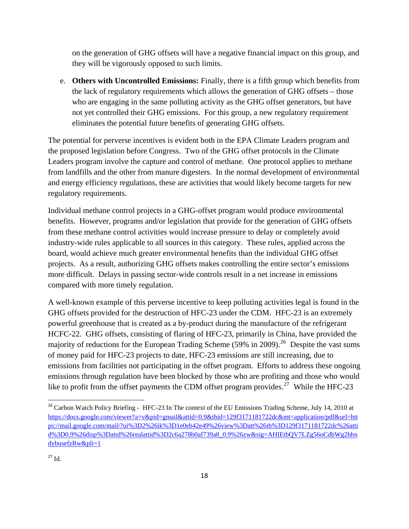on the generation of GHG offsets will have a negative financial impact on this group, and they will be vigorously opposed to such limits.

e. **Others with Uncontrolled Emissions:** Finally, there is a fifth group which benefits from the lack of regulatory requirements which allows the generation of GHG offsets – those who are engaging in the same polluting activity as the GHG offset generators, but have not yet controlled their GHG emissions. For this group, a new regulatory requirement eliminates the potential future benefits of generating GHG offsets.

The potential for perverse incentives is evident both in the EPA Climate Leaders program and the proposed legislation before Congress. Two of the GHG offset protocols in the Climate Leaders program involve the capture and control of methane. One protocol applies to methane from landfills and the other from manure digesters. In the normal development of environmental and energy efficiency regulations, these are activities that would likely become targets for new regulatory requirements.

Individual methane control projects in a GHG-offset program would produce environmental benefits. However, programs and/or legislation that provide for the generation of GHG offsets from these methane control activities would increase pressure to delay or completely avoid industry-wide rules applicable to all sources in this category. These rules, applied across the board, would achieve much greater environmental benefits than the individual GHG offset projects. As a result, authorizing GHG offsets makes controlling the entire sector's emissions more difficult. Delays in passing sector-wide controls result in a net increase in emissions compared with more timely regulation.

A well-known example of this perverse incentive to keep polluting activities legal is found in the GHG offsets provided for the destruction of HFC-23 under the CDM. HFC-23 is an extremely powerful greenhouse that is created as a by-product during the manufacture of the refrigerant HCFC-22. GHG offsets, consisting of flaring of HFC-23, primarily in China, have provided the majority of reductions for the European Trading Scheme (59% in 2009).<sup>[26](#page-17-0)</sup> Despite the vast sums of money paid for HFC-23 projects to date, HFC-23 emissions are still increasing, due to emissions from facilities not participating in the offset program. Efforts to address these ongoing emissions through regulation have been blocked by those who are profiting and those who would like to profit from the offset payments the CDM offset program provides.<sup>[27](#page-17-1)</sup> While the HFC-23

<span id="page-17-1"></span><span id="page-17-0"></span><sup>&</sup>lt;sup>26</sup> Carbon Watch Policy Briefing - HFC-23 In The context of the EU Emissions Trading Scheme, July 14, 2010 at [https://docs.google.com/viewer?a=v&pid=gmail&attid=0.9&thid=129f3171181722dc&mt=application/pdf&url=htt](https://docs.google.com/viewer?a=v&pid=gmail&attid=0.9&thid=129f3171181722dc&mt=application/pdf&url=https://mail.google.com/mail/?ui%3D2%26ik%3D1e0eb42e49%26view%3Datt%26th%3D129f3171181722dc%26attid%3D0.9%26disp%3Dattd%26realattid%3D2c6a278b0af739a8_0.9%26zw&sig=AHIEtbQV7LZg56oCdbWg2hhndybusefzRw&pli=1) [ps://mail.google.com/mail/?ui%3D2%26ik%3D1e0eb42e49%26view%3Datt%26th%3D129f3171181722dc%26atti](https://docs.google.com/viewer?a=v&pid=gmail&attid=0.9&thid=129f3171181722dc&mt=application/pdf&url=https://mail.google.com/mail/?ui%3D2%26ik%3D1e0eb42e49%26view%3Datt%26th%3D129f3171181722dc%26attid%3D0.9%26disp%3Dattd%26realattid%3D2c6a278b0af739a8_0.9%26zw&sig=AHIEtbQV7LZg56oCdbWg2hhndybusefzRw&pli=1) [d%3D0.9%26disp%3Dattd%26realattid%3D2c6a278b0af739a8\\_0.9%26zw&sig=AHIEtbQV7LZg56oCdbWg2hhn](https://docs.google.com/viewer?a=v&pid=gmail&attid=0.9&thid=129f3171181722dc&mt=application/pdf&url=https://mail.google.com/mail/?ui%3D2%26ik%3D1e0eb42e49%26view%3Datt%26th%3D129f3171181722dc%26attid%3D0.9%26disp%3Dattd%26realattid%3D2c6a278b0af739a8_0.9%26zw&sig=AHIEtbQV7LZg56oCdbWg2hhndybusefzRw&pli=1) [dybusefzRw&pli=1](https://docs.google.com/viewer?a=v&pid=gmail&attid=0.9&thid=129f3171181722dc&mt=application/pdf&url=https://mail.google.com/mail/?ui%3D2%26ik%3D1e0eb42e49%26view%3Datt%26th%3D129f3171181722dc%26attid%3D0.9%26disp%3Dattd%26realattid%3D2c6a278b0af739a8_0.9%26zw&sig=AHIEtbQV7LZg56oCdbWg2hhndybusefzRw&pli=1)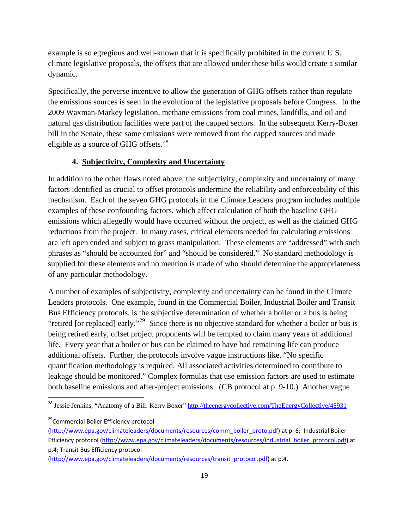example is so egregious and well-known that it is specifically prohibited in the current U.S. climate legislative proposals, the offsets that are allowed under these bills would create a similar dynamic.

Specifically, the perverse incentive to allow the generation of GHG offsets rather than regulate the emissions sources is seen in the evolution of the legislative proposals before Congress. In the 2009 Waxman-Markey legislation, methane emissions from coal mines, landfills, and oil and natural gas distribution facilities were part of the capped sectors. In the subsequent Kerry-Boxer bill in the Senate, these same emissions were removed from the capped sources and made eligible as a source of GHG offsets.<sup>[28](#page-18-0)</sup>

### **4. Subjectivity, Complexity and Uncertainty**

In addition to the other flaws noted above, the subjectivity, complexity and uncertainty of many factors identified as crucial to offset protocols undermine the reliability and enforceability of this mechanism. Each of the seven GHG protocols in the Climate Leaders program includes multiple examples of these confounding factors, which affect calculation of both the baseline GHG emissions which allegedly would have occurred without the project, as well as the claimed GHG reductions from the project. In many cases, critical elements needed for calculating emissions are left open ended and subject to gross manipulation. These elements are "addressed" with such phrases as "should be accounted for" and "should be considered." No standard methodology is supplied for these elements and no mention is made of who should determine the appropriateness of any particular methodology.

A number of examples of subjectivity, complexity and uncertainty can be found in the Climate Leaders protocols. One example, found in the Commercial Boiler, Industrial Boiler and Transit Bus Efficiency protocols, is the subjective determination of whether a boiler or a bus is being "retired [or replaced] early."[29](#page-18-1) Since there is no objective standard for whether a boiler or bus is being retired early, offset project proponents will be tempted to claim many years of additional life. Every year that a boiler or bus can be claimed to have had remaining life can produce additional offsets. Further, the protocols involve vague instructions like, "No specific quantification methodology is required. All associated activities determined to contribute to leakage should be monitored." Complex formulas that use emission factors are used to estimate both baseline emissions and after-project emissions. (CB protocol at p. 9-10.) Another vague

<span id="page-18-0"></span><sup>&</sup>lt;sup>28</sup> Jessie Jenkins, "Anatomy of a Bill: Kerry Boxer"<http://theenergycollective.com/TheEnergyCollective/48931>

<span id="page-18-1"></span><sup>&</sup>lt;sup>29</sup>Commercial Boiler Efficiency protocol

[<sup>\(</sup>http://www.epa.gov/climateleaders/documents/resources/comm\\_boiler\\_proto.pdf](http://www.epa.gov/climateleaders/documents/resources/comm_boiler_proto.pdf)) at p. 6; Industrial Boiler Efficiency protocol ([http://www.epa.gov/climateleaders/documents/resources/industrial\\_boiler\\_protocol.pdf\)](http://www.epa.gov/climateleaders/documents/resources/industrial_boiler_protocol.pdf) at p.4; Transit Bus Efficiency protocol

[<sup>\(</sup>http://www.epa.gov/climateleaders/documents/resources/transit\\_protocol.pdf\)](http://www.epa.gov/climateleaders/documents/resources/transit_protocol.pdf) at p.4.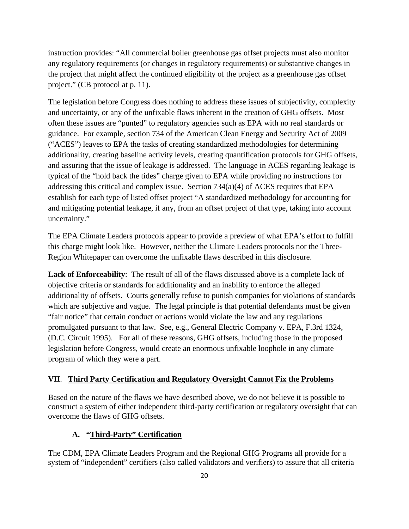instruction provides: "All commercial boiler greenhouse gas offset projects must also monitor any regulatory requirements (or changes in regulatory requirements) or substantive changes in the project that might affect the continued eligibility of the project as a greenhouse gas offset project." (CB protocol at p. 11).

The legislation before Congress does nothing to address these issues of subjectivity, complexity and uncertainty, or any of the unfixable flaws inherent in the creation of GHG offsets. Most often these issues are "punted" to regulatory agencies such as EPA with no real standards or guidance. For example, section 734 of the American Clean Energy and Security Act of 2009 ("ACES") leaves to EPA the tasks of creating standardized methodologies for determining additionality, creating baseline activity levels, creating quantification protocols for GHG offsets, and assuring that the issue of leakage is addressed. The language in ACES regarding leakage is typical of the "hold back the tides" charge given to EPA while providing no instructions for addressing this critical and complex issue. Section 734(a)(4) of ACES requires that EPA establish for each type of listed offset project "A standardized methodology for accounting for and mitigating potential leakage, if any, from an offset project of that type, taking into account uncertainty."

The EPA Climate Leaders protocols appear to provide a preview of what EPA's effort to fulfill this charge might look like. However, neither the Climate Leaders protocols nor the Three-Region Whitepaper can overcome the unfixable flaws described in this disclosure.

**Lack of Enforceability**: The result of all of the flaws discussed above is a complete lack of objective criteria or standards for additionality and an inability to enforce the alleged additionality of offsets. Courts generally refuse to punish companies for violations of standards which are subjective and vague. The legal principle is that potential defendants must be given "fair notice" that certain conduct or actions would violate the law and any regulations promulgated pursuant to that law. See, e.g., General Electric Company v. EPA, F.3rd 1324, (D.C. Circuit 1995). For all of these reasons, GHG offsets, including those in the proposed legislation before Congress, would create an enormous unfixable loophole in any climate program of which they were a part.

### **VII**. **Third Party Certification and Regulatory Oversight Cannot Fix the Problems**

Based on the nature of the flaws we have described above, we do not believe it is possible to construct a system of either independent third-party certification or regulatory oversight that can overcome the flaws of GHG offsets.

## **A. "Third-Party" Certification**

The CDM, EPA Climate Leaders Program and the Regional GHG Programs all provide for a system of "independent" certifiers (also called validators and verifiers) to assure that all criteria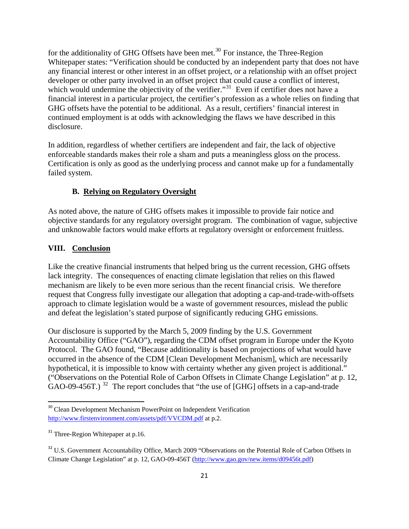for the additionality of GHG Offsets have been met.<sup>[30](#page-20-0)</sup> For instance, the Three-Region Whitepaper states: "Verification should be conducted by an independent party that does not have any financial interest or other interest in an offset project, or a relationship with an offset project developer or other party involved in an offset project that could cause a conflict of interest, which would undermine the objectivity of the verifier."<sup>[31](#page-20-1)</sup> Even if certifier does not have a financial interest in a particular project, the certifier's profession as a whole relies on finding that GHG offsets have the potential to be additional. As a result, certifiers' financial interest in continued employment is at odds with acknowledging the flaws we have described in this disclosure.

In addition, regardless of whether certifiers are independent and fair, the lack of objective enforceable standards makes their role a sham and puts a meaningless gloss on the process. Certification is only as good as the underlying process and cannot make up for a fundamentally failed system.

### **B. Relying on Regulatory Oversight**

As noted above, the nature of GHG offsets makes it impossible to provide fair notice and objective standards for any regulatory oversight program. The combination of vague, subjective and unknowable factors would make efforts at regulatory oversight or enforcement fruitless.

#### **VIII. Conclusion**

Like the creative financial instruments that helped bring us the current recession, GHG offsets lack integrity. The consequences of enacting climate legislation that relies on this flawed mechanism are likely to be even more serious than the recent financial crisis. We therefore request that Congress fully investigate our allegation that adopting a cap-and-trade-with-offsets approach to climate legislation would be a waste of government resources, mislead the public and defeat the legislation's stated purpose of significantly reducing GHG emissions.

Our disclosure is supported by the March 5, 2009 finding by the U.S. Government Accountability Office ("GAO"), regarding the CDM offset program in Europe under the Kyoto Protocol. The GAO found, "Because additionality is based on projections of what would have occurred in the absence of the CDM [Clean Development Mechanism], which are necessarily hypothetical, it is impossible to know with certainty whether any given project is additional." ("Observations on the Potential Role of Carbon Offsets in Climate Change Legislation" at p. 12, GAO-09-456T.)<sup>[32](#page-20-2)</sup> The report concludes that "the use of [GHG] offsets in a cap-and-trade

<span id="page-20-0"></span><sup>&</sup>lt;sup>30</sup> Clean Development Mechanism PowerPoint on Independent Verification <http://www.firstenvironment.com/assets/pdf/VVCDM.pdf> at p.2.

<span id="page-20-1"></span><sup>&</sup>lt;sup>31</sup> Three-Region Whitepaper at p.16.

<span id="page-20-2"></span><sup>&</sup>lt;sup>32</sup> U.S. Government Accountability Office, March 2009 "Observations on the Potential Role of Carbon Offsets in Climate Change Legislation" at p. 12, GAO-09-456T [\(http://www.gao.gov/new.items/d09456t.pdf](http://www.gao.gov/new.items/d09456t.pdf))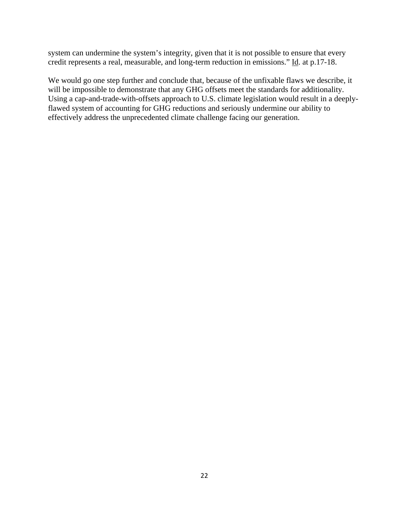system can undermine the system's integrity, given that it is not possible to ensure that every credit represents a real, measurable, and long-term reduction in emissions." Id. at p.17-18.

We would go one step further and conclude that, because of the unfixable flaws we describe, it will be impossible to demonstrate that any GHG offsets meet the standards for additionality. Using a cap-and-trade-with-offsets approach to U.S. climate legislation would result in a deeplyflawed system of accounting for GHG reductions and seriously undermine our ability to effectively address the unprecedented climate challenge facing our generation.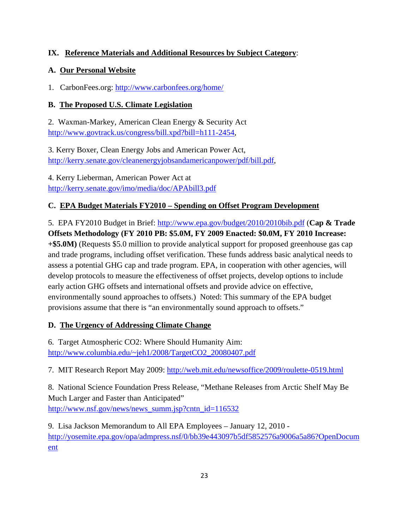# **IX. Reference Materials and Additional Resources by Subject Category**:

## **A. Our Personal Website**

1. CarbonFees.org: <http://www.carbonfees.org/home/>

# **B. The Proposed U.S. Climate Legislation**

2. Waxman-Markey, American Clean Energy & Security Act <http://www.govtrack.us/congress/bill.xpd?bill=h111-2454>,

3. Kerry Boxer, Clean Energy Jobs and American Power Act, <http://kerry.senate.gov/cleanenergyjobsandamericanpower/pdf/bill.pdf>,

4. Kerry Lieberman, American Power Act at <http://kerry.senate.gov/imo/media/doc/APAbill3.pdf>

# **C. EPA Budget Materials FY2010 – Spending on Offset Program Development**

5. EPA FY2010 Budget in Brief:<http://www.epa.gov/budget/2010/2010bib.pdf> (**Cap & Trade Offsets Methodology (FY 2010 PB: \$5.0M, FY 2009 Enacted: \$0.0M, FY 2010 Increase: +\$5.0M)** (Requests \$5.0 million to provide analytical support for proposed greenhouse gas cap and trade programs, including offset verification. These funds address basic analytical needs to assess a potential GHG cap and trade program. EPA, in cooperation with other agencies, will develop protocols to measure the effectiveness of offset projects, develop options to include early action GHG offsets and international offsets and provide advice on effective, environmentally sound approaches to offsets.) Noted: This summary of the EPA budget provisions assume that there is "an environmentally sound approach to offsets."

## **D. The Urgency of Addressing Climate Change**

6. Target Atmospheric CO2: Where Should Humanity Aim: [http://www.columbia.edu/~jeh1/2008/TargetCO2\\_20080407.pdf](http://www.columbia.edu/%7Ejeh1/2008/TargetCO2_20080407.pdf)

7. MIT Research Report May 2009:<http://web.mit.edu/newsoffice/2009/roulette-0519.html>

8. National Science Foundation Press Release, "Methane Releases from Arctic Shelf May Be Much Larger and Faster than Anticipated" [http://www.nsf.gov/news/news\\_summ.jsp?cntn\\_id=116532](http://www.nsf.gov/news/news_summ.jsp?cntn_id=116532)

9. Lisa Jackson Memorandum to All EPA Employees – January 12, 2010 [http://yosemite.epa.gov/opa/admpress.nsf/0/bb39e443097b5df5852576a9006a5a86?OpenDocum](http://yosemite.epa.gov/opa/admpress.nsf/0/bb39e443097b5df5852576a9006a5a86?OpenDocument) [ent](http://yosemite.epa.gov/opa/admpress.nsf/0/bb39e443097b5df5852576a9006a5a86?OpenDocument)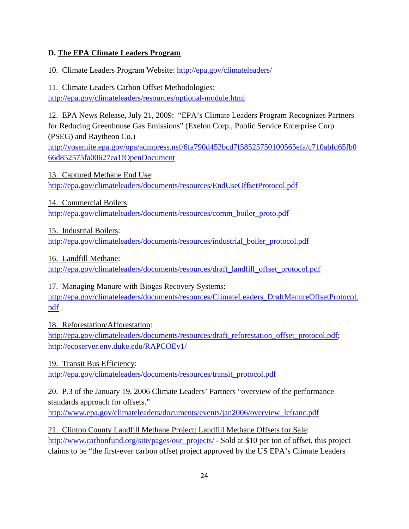## **D. The EPA Climate Leaders Program**

10. Climate Leaders Program Website:<http://epa.gov/climateleaders/>

11. Climate Leaders Carbon Offset Methodologies: <http://epa.gov/climateleaders/resources/optional-module.html>

12. EPA News Release, July 21, 2009: "EPA's Climate Leaders Program Recognizes Partners for Reducing Greenhouse Gas Emissions" (Exelon Corp., Public Service Enterprise Corp (PSEG) and Raytheon Co.)

[http://yosemite.epa.gov/opa/admpress.nsf/6fa790d452bcd7f58525750100565efa/c710abfd65fb0](http://yosemite.epa.gov/opa/admpress.nsf/6fa790d452bcd7f58525750100565efa/c710abfd65fb066d852575fa00627ea1!OpenDocument) [66d852575fa00627ea1!OpenDocument](http://yosemite.epa.gov/opa/admpress.nsf/6fa790d452bcd7f58525750100565efa/c710abfd65fb066d852575fa00627ea1!OpenDocument)

13. Captured Methane End Use: <http://epa.gov/climateleaders/documents/resources/EndUseOffsetProtocol.pdf>

14. Commercial Boilers:

[http://epa.gov/climateleaders/documents/resources/comm\\_boiler\\_proto.pdf](http://epa.gov/climateleaders/documents/resources/comm_boiler_proto.pdf)

15. Industrial Boilers:

[http://epa.gov/climateleaders/documents/resources/industrial\\_boiler\\_protocol.pdf](http://epa.gov/climateleaders/documents/resources/industrial_boiler_protocol.pdf)

16. Landfill Methane:

[http://epa.gov/climateleaders/documents/resources/draft\\_landfill\\_offset\\_protocol.pdf](http://epa.gov/climateleaders/documents/resources/draft_landfill_offset_protocol.pdf)

17. Managing Manure with Biogas Recovery Systems:

[http://epa.gov/climateleaders/documents/resources/ClimateLeaders\\_DraftManureOffsetProtocol.](http://epa.gov/climateleaders/documents/resources/ClimateLeaders_DraftManureOffsetProtocol.pdf) [pdf](http://epa.gov/climateleaders/documents/resources/ClimateLeaders_DraftManureOffsetProtocol.pdf)

18. Reforestation/Afforestation:

[http://epa.gov/climateleaders/documents/resources/draft\\_reforestation\\_offset\\_protocol.pdf;](http://epa.gov/climateleaders/documents/resources/draft_reforestation_offset_protocol.pdf) <http://ecoserver.env.duke.edu/RAPCOEv1/>

19. Transit Bus Efficiency:

[http://epa.gov/climateleaders/documents/resources/transit\\_protocol.pdf](http://epa.gov/climateleaders/documents/resources/transit_protocol.pdf)

20. P.3 of the January 19, 2006 Climate Leaders' Partners "overview of the performance standards approach for offsets."

[http://www.epa.gov/climateleaders/documents/events/jan2006/overview\\_lefranc.pdf](http://www.epa.gov/climateleaders/documents/events/jan2006/overview_lefranc.pdf)

21. Clinton County Landfill Methane Project: Landfill Methane Offsets for Sale: [http://www.carbonfund.org/site/pages/our\\_projects/](http://www.carbonfund.org/site/pages/our_projects/) - Sold at \$10 per ton of offset, this project claims to be "the first-ever carbon offset project approved by the US EPA's Climate Leaders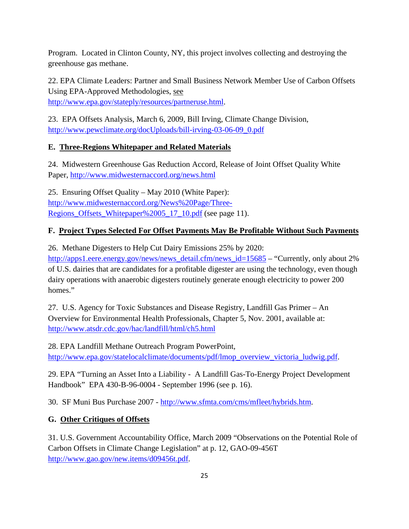Program. Located in Clinton County, NY, this project involves collecting and destroying the greenhouse gas methane.

22. EPA Climate Leaders: Partner and Small Business Network Member Use of Carbon Offsets Using EPA-Approved Methodologies, see

[http://www.epa.gov/stateply/resources/partneruse.html.](http://www.epa.gov/stateply/resources/partneruse.html)

23. EPA Offsets Analysis, March 6, 2009, Bill Irving, Climate Change Division, [http://www.pewclimate.org/docUploads/bill-irving-03-06-09\\_0.pdf](http://www.pewclimate.org/docUploads/bill-irving-03-06-09_0.pdf)

# **E. Three-Regions Whitepaper and Related Materials**

24. Midwestern Greenhouse Gas Reduction Accord, Release of Joint Offset Quality White Paper,<http://www.midwesternaccord.org/news.html>

25. Ensuring Offset Quality – May 2010 (White Paper): [http://www.midwesternaccord.org/News%20Page/Three-](http://www.midwesternaccord.org/News%20Page/Three-Regions_Offsets_Whitepaper%2005_17_10.pdf)[Regions\\_Offsets\\_Whitepaper%2005\\_17\\_10.pdf](http://www.midwesternaccord.org/News%20Page/Three-Regions_Offsets_Whitepaper%2005_17_10.pdf) (see page 11).

# **F. Project Types Selected For Offset Payments May Be Profitable Without Such Payments**

26. Methane Digesters to Help Cut Dairy Emissions 25% by 2020:

[http://apps1.eere.energy.gov/news/news\\_detail.cfm/news\\_id=15685](http://apps1.eere.energy.gov/news/news_detail.cfm/news_id=15685) – "Currently, only about 2% of U.S. dairies that are candidates for a profitable digester are using the technology, even though dairy operations with anaerobic digesters routinely generate enough electricity to power 200 homes."

27. U.S. Agency for Toxic Substances and Disease Registry, Landfill Gas Primer – An Overview for Environmental Health Professionals, Chapter 5, Nov. 2001, available at: <http://www.atsdr.cdc.gov/hac/landfill/html/ch5.html>

28. EPA Landfill Methane Outreach Program PowerPoint, [http://www.epa.gov/statelocalclimate/documents/pdf/lmop\\_overview\\_victoria\\_ludwig.pdf.](http://www.epa.gov/statelocalclimate/documents/pdf/lmop_overview_victoria_ludwig.pdf)

29. EPA "Turning an Asset Into a Liability - A Landfill Gas-To-Energy Project Development Handbook" EPA 430-B-96-0004 - September 1996 (see p. 16).

30. SF Muni Bus Purchase 2007 - [http://www.sfmta.com/cms/mfleet/hybrids.htm.](http://www.sfmta.com/cms/mfleet/hybrids.htm)

# **G. Other Critiques of Offsets**

31. U.S. Government Accountability Office, March 2009 "Observations on the Potential Role of Carbon Offsets in Climate Change Legislation" at p. 12, GAO-09-456T [http://www.gao.gov/new.items/d09456t.pdf.](http://www.gao.gov/new.items/d09456t.pdf)